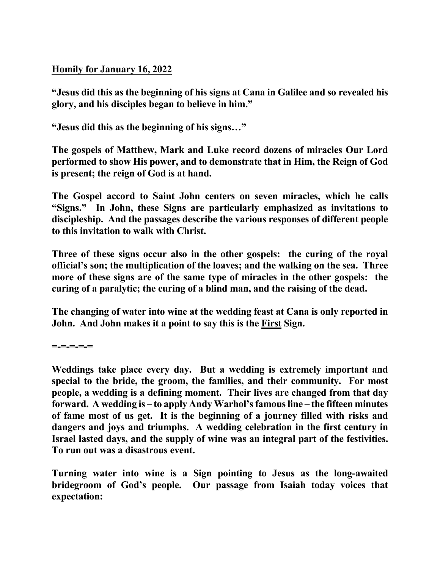**Homily for January 16, 2022**

**"Jesus did this as the beginning of his signs at Cana in Galilee and so revealed his glory, and his disciples began to believe in him."** 

**"Jesus did this as the beginning of his signs…"** 

**The gospels of Matthew, Mark and Luke record dozens of miracles Our Lord performed to show His power, and to demonstrate that in Him, the Reign of God is present; the reign of God is at hand.** 

**The Gospel accord to Saint John centers on seven miracles, which he calls "Signs." In John, these Signs are particularly emphasized as invitations to discipleship. And the passages describe the various responses of different people to this invitation to walk with Christ.** 

**Three of these signs occur also in the other gospels: the curing of the royal official's son; the multiplication of the loaves; and the walking on the sea. Three more of these signs are of the same type of miracles in the other gospels: the curing of a paralytic; the curing of a blind man, and the raising of the dead.** 

**The changing of water into wine at the wedding feast at Cana is only reported in John. And John makes it a point to say this is the First Sign.** 

**=-=-=-=-=**

**Weddings take place every day. But a wedding is extremely important and special to the bride, the groom, the families, and their community. For most people, a wedding is a defining moment. Their lives are changed from that day forward. A wedding is – to apply Andy Warhol's famous line – the fifteen minutes of fame most of us get. It is the beginning of a journey filled with risks and dangers and joys and triumphs. A wedding celebration in the first century in Israel lasted days, and the supply of wine was an integral part of the festivities. To run out was a disastrous event.** 

**Turning water into wine is a Sign pointing to Jesus as the long-awaited bridegroom of God's people. Our passage from Isaiah today voices that expectation:**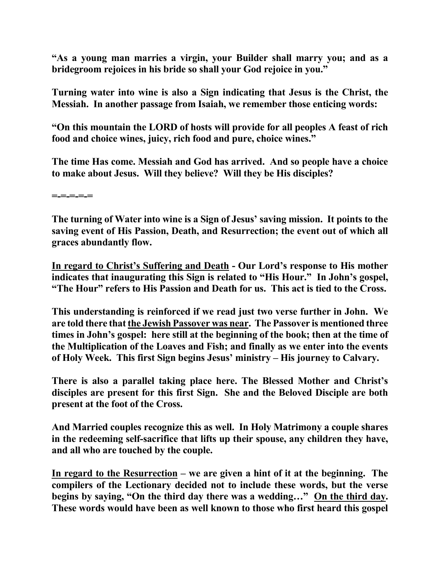**"As a young man marries a virgin, your Builder shall marry you; and as a bridegroom rejoices in his bride so shall your God rejoice in you."** 

**Turning water into wine is also a Sign indicating that Jesus is the Christ, the Messiah. In another passage from Isaiah, we remember those enticing words:** 

**"On this mountain the LORD of hosts will provide for all peoples A feast of rich food and choice wines, juicy, rich food and pure, choice wines."** 

**The time Has come. Messiah and God has arrived. And so people have a choice to make about Jesus. Will they believe? Will they be His disciples?** 

**=-=-=-=-=** 

**The turning of Water into wine is a Sign of Jesus' saving mission. It points to the saving event of His Passion, Death, and Resurrection; the event out of which all graces abundantly flow.** 

**In regard to Christ's Suffering and Death - Our Lord's response to His mother indicates that inaugurating this Sign is related to "His Hour." In John's gospel, "The Hour" refers to His Passion and Death for us. This act is tied to the Cross.** 

**This understanding is reinforced if we read just two verse further in John. We are told there that the Jewish Passover was near. The Passover is mentioned three times in John's gospel: here still at the beginning of the book; then at the time of the Multiplication of the Loaves and Fish; and finally as we enter into the events of Holy Week. This first Sign begins Jesus' ministry – His journey to Calvary.** 

**There is also a parallel taking place here. The Blessed Mother and Christ's disciples are present for this first Sign. She and the Beloved Disciple are both present at the foot of the Cross.** 

**And Married couples recognize this as well. In Holy Matrimony a couple shares in the redeeming self-sacrifice that lifts up their spouse, any children they have, and all who are touched by the couple.** 

**In regard to the Resurrection – we are given a hint of it at the beginning. The compilers of the Lectionary decided not to include these words, but the verse begins by saying, "On the third day there was a wedding…" On the third day. These words would have been as well known to those who first heard this gospel**